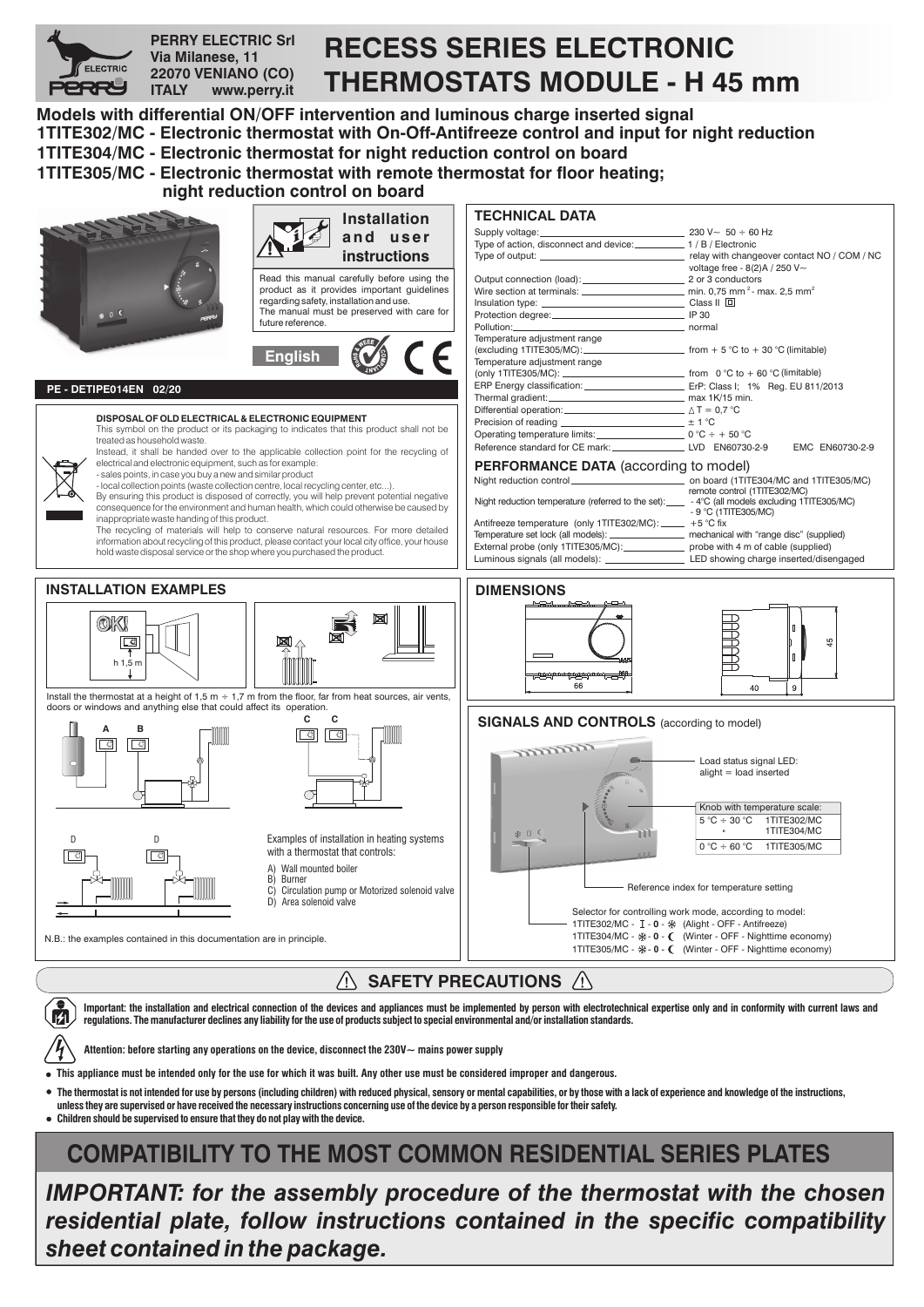

**Important: the installation and electrical connection of the devices and appliances must be implemented by person with electrotechnical expertise only and in conformity with current laws and regulations. he manufacturer declines any liability for the use of products subject to special environmental and/or installation standards. T**

**Attention: before starting any operations on the device, disconnect the 230V~ mains power supply**

**This appliance must be intended only for the use for which it was built. Any other use must be considered improper and dangerous.**

**The thermostat is not intended for use by persons (including children) with reduced physical, sensory or mental capabilities, or by those with a lack of experience and knowledge of the instructions,**

**unless they are supervised or have received the necessary instructions concerning use of the device by a person responsible for their safety.**

**Children should be supervised to ensure that they do not play with the device.**

# **COMPATIBILITY TO THE MOST COMMON RESIDENTIAL SERIES PLATES**

*IMPORTANT: for the assembly procedure of the thermostat with the chosen residential plate, follow instructions contained in the specific compatibility sheet contained in the package.*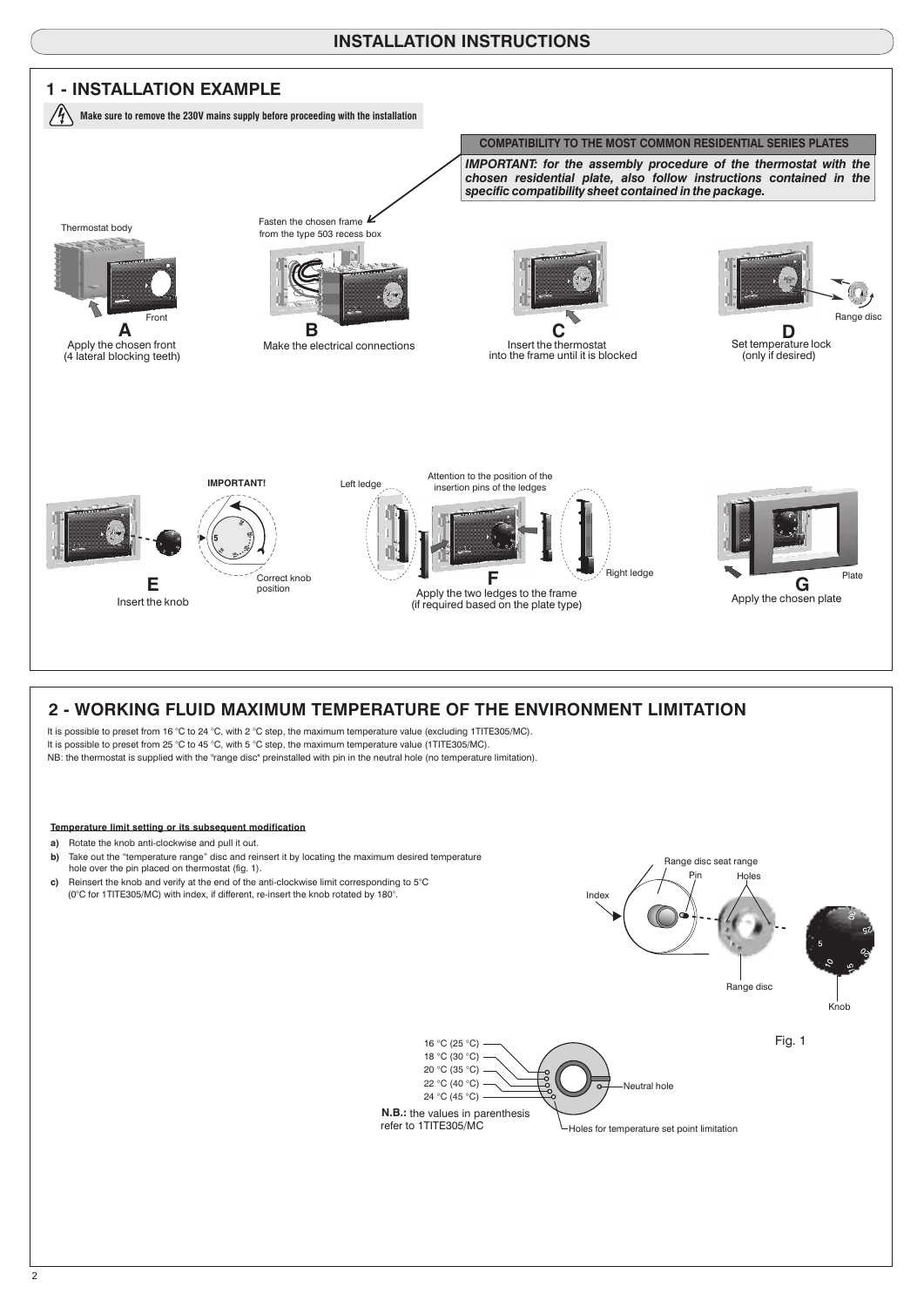### **INSTALLATION INSTRUCTIONS**



#### **Temperature limit setting or its subsequent modification**

- **a)** Rotate the knob anti-clockwise and pull it out.
- **b)** Take out the "temperature range" disc and reinsert it by locating the maximum desired temperature hole over the pin placed on thermostat (fig. 1).
- **c)** Reinsert the knob and verify at the end of the anti-clockwise limit corresponding to 5°C (0°C for 1TITE305/MC) with index, if different, re-insert the knob rotated by 180°.

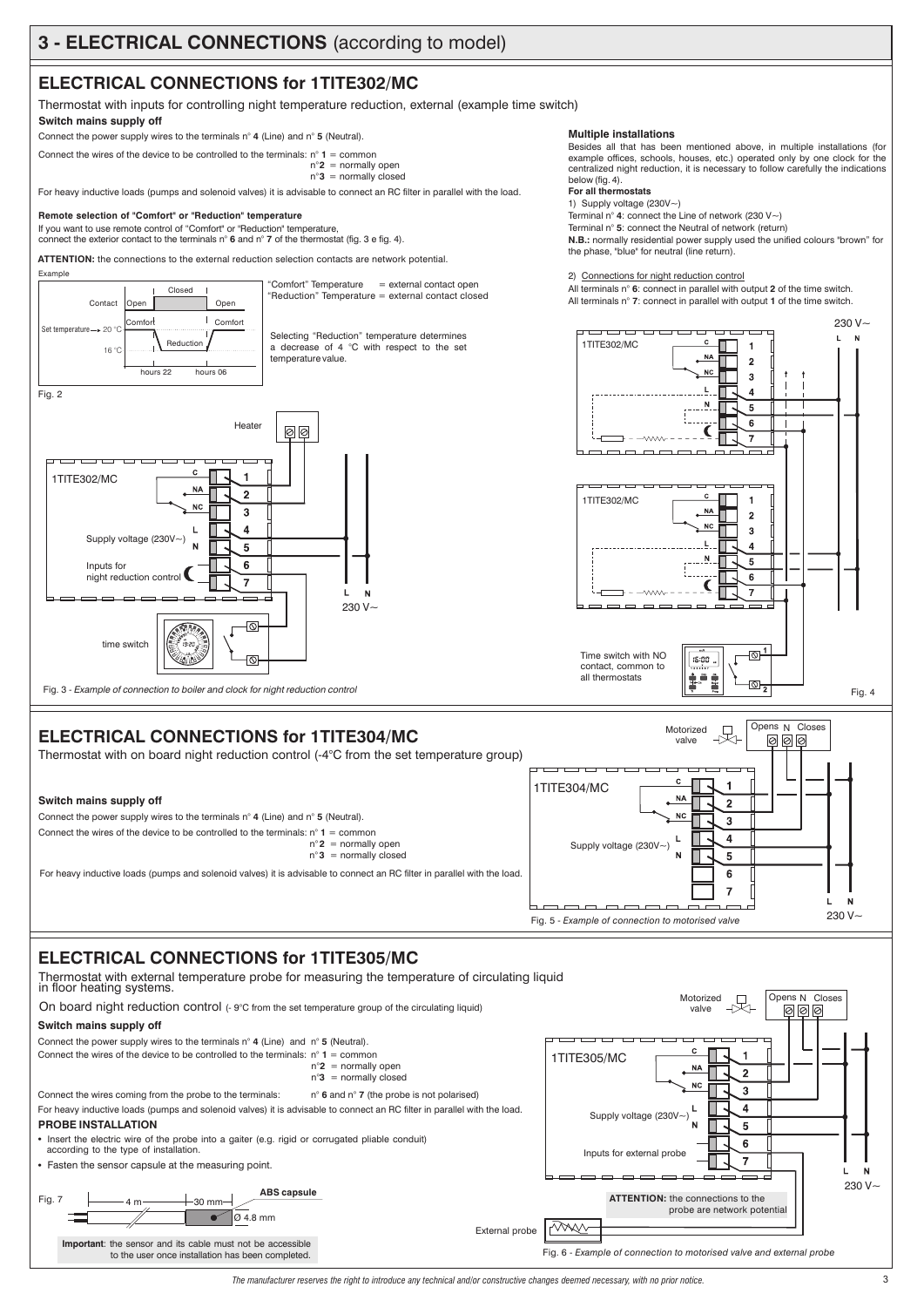## **ELECTRICAL CONNECTIONS for 1TITE302/MC**

Thermostat with inputs for controlling night temperature reduction, external (example time switch) **Switch mains supply off**

Connect the power supply wires to the terminals  $n^{\circ}$  4 (Line) and  $n^{\circ}$  5 (Neutral).

Connect the wires of the device to be controlled to the terminals:  $n^{\circ}$  1 = common  $n^{\circ}$ **2** = normally open

 $n°3$  = normally closed

For heavy inductive loads (pumps and solenoid valves) it is advisable to connect an RC filter in parallel with the load.

#### **Remote selection of "Comfort" or "Reduction" temperature**

If you want to use remote control of "Comfort" or "Reduction" temperature,



**Multiple installations**

1) Supply voltage (230V~) **For all thermostats**

below (fig. 4).

Terminal n° 5: connect the Neutral of network (return) Terminal n°  $\bf{4}$  connect the Line of network (230 V $\sim$ )

Besides all that has been mentioned above, in multiple installations (for example offices, schools, houses, etc.) operated only by one clock for the centralized night reduction, it is necessary to follow carefully the indications